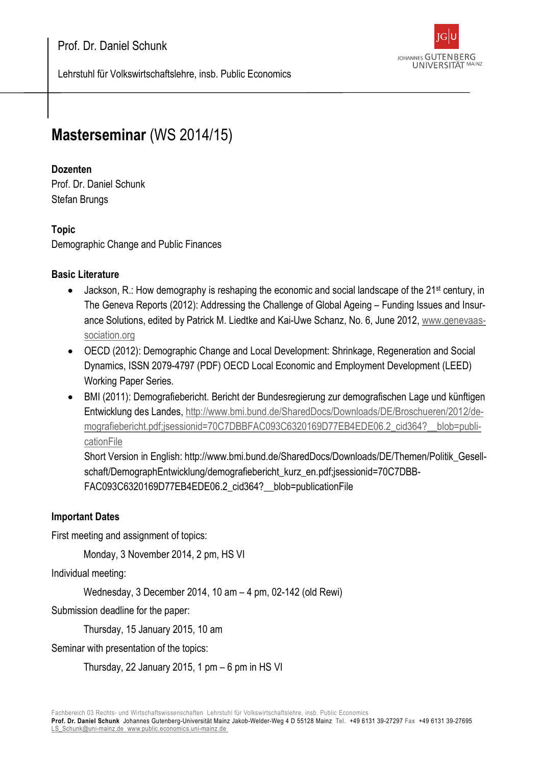

Lehrstuhl für Volkswirtschaftslehre, insb. Public Economics

# **Masterseminar** (WS 2014/15)

## **Dozenten**

Prof. Dr. Daniel Schunk Stefan Brungs

## **Topic**

Demographic Change and Public Finances

## **Basic Literature**

- Jackson, R.: How demography is reshaping the economic and social landscape of the 21st century, in The Geneva Reports (2012): Addressing the Challenge of Global Ageing – Funding Issues and Insurance Solutions, edited by Patrick M. Liedtke and Kai-Uwe Schanz, No. 6, June 2012, [www.genevaas](http://www.genevaassociation.org/)[sociation.org](http://www.genevaassociation.org/)
- OECD (2012): Demographic Change and Local Development: Shrinkage, Regeneration and Social Dynamics, ISSN 2079-4797 (PDF) OECD Local Economic and Employment Development (LEED) Working Paper Series.
- BMI (2011): Demografiebericht. Bericht der Bundesregierung zur demografischen Lage und künftigen Entwicklung des Landes, [http://www.bmi.bund.de/SharedDocs/Downloads/DE/Broschueren/2012/de](http://www.bmi.bund.de/SharedDocs/Downloads/DE/Broschueren/2012/demografiebericht.pdf;jsessionid=70C7DBBFAC093C6320169D77EB4EDE06.2_cid364?__blob=publicationFile)[mografiebericht.pdf;jsessionid=70C7DBBFAC093C6320169D77EB4EDE06.2\\_cid364?\\_\\_blob=publi](http://www.bmi.bund.de/SharedDocs/Downloads/DE/Broschueren/2012/demografiebericht.pdf;jsessionid=70C7DBBFAC093C6320169D77EB4EDE06.2_cid364?__blob=publicationFile)[cationFile](http://www.bmi.bund.de/SharedDocs/Downloads/DE/Broschueren/2012/demografiebericht.pdf;jsessionid=70C7DBBFAC093C6320169D77EB4EDE06.2_cid364?__blob=publicationFile)

Short Version in English: http://www.bmi.bund.de/SharedDocs/Downloads/DE/Themen/Politik\_Gesellschaft/DemographEntwicklung/demografiebericht\_kurz\_en.pdf;jsessionid=70C7DBB-FAC093C6320169D77EB4EDE06.2\_cid364?\_\_blob=publicationFile

#### **Important Dates**

First meeting and assignment of topics:

Monday, 3 November 2014, 2 pm, HS VI

Individual meeting:

Wednesday, 3 December 2014, 10 am – 4 pm, 02-142 (old Rewi)

Submission deadline for the paper:

Thursday, 15 January 2015, 10 am

Seminar with presentation of the topics:

Thursday, 22 January 2015, 1 pm – 6 pm in HS VI

**Prof. Dr. Daniel Schunk** J[ohannes Gutenberg-Universität Mainz](http://www.public.economics.uni-mainz.de/) Jakob-Welder-Weg 4 D 55128 Mainz **Tel.** +49 6131 39-27297 **Fax** +49 6131 39-27695 [LS\\_Schunk@uni-mainz.de](mailto:LS_Schunk@uni-mainz.de) [www.public.economics.uni-mainz.de](http://www.public.economics.uni-mainz.de/)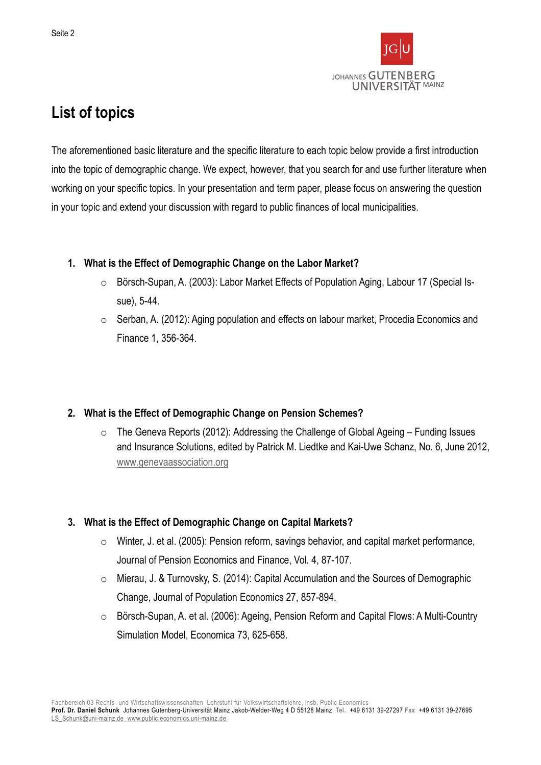

## **List of topics**

The aforementioned basic literature and the specific literature to each topic below provide a first introduction into the topic of demographic change. We expect, however, that you search for and use further literature when working on your specific topics. In your presentation and term paper, please focus on answering the question in your topic and extend your discussion with regard to public finances of local municipalities.

#### **1. What is the Effect of Demographic Change on the Labor Market?**

- o Börsch-Supan, A. (2003): Labor Market Effects of Population Aging, Labour 17 (Special Issue), 5-44.
- o Serban, A. (2012): Aging population and effects on labour market, Procedia Economics and Finance 1, 356-364.

## **2. What is the Effect of Demographic Change on Pension Schemes?**

 $\circ$  The Geneva Reports (2012): Addressing the Challenge of Global Ageing – Funding Issues and Insurance Solutions, edited by Patrick M. Liedtke and Kai-Uwe Schanz, No. 6, June 2012, [www.genevaassociation.org](http://www.genevaassociation.org/)

## **3. What is the Effect of Demographic Change on Capital Markets?**

- o Winter, J. et al. (2005): Pension reform, savings behavior, and capital market performance, Journal of Pension Economics and Finance, Vol. 4, 87-107.
- o Mierau, J. & Turnovsky, S. (2014): Capital Accumulation and the Sources of Demographic Change, Journal of Population Economics 27, 857-894.
- o Börsch-Supan, A. et al. (2006): Ageing, Pension Reform and Capital Flows: A Multi-Country Simulation Model, Economica 73, 625-658.